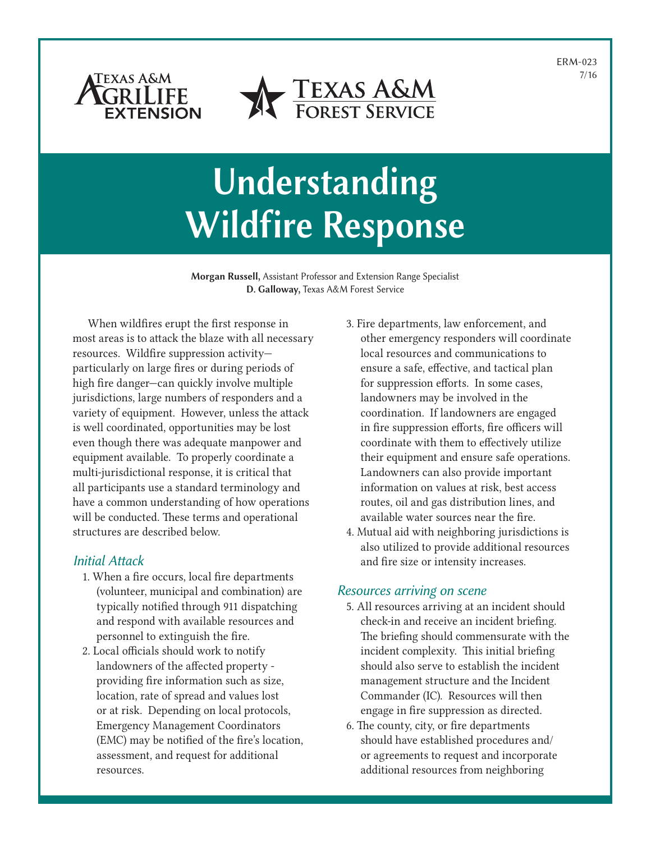ERM-023 7/16





# Understanding Wildfire Response

Morgan Russell, Assistant Professor and Extension Range Specialist D. Galloway, Texas A&M Forest Service

When wildfires erupt the first response in most areas is to attack the blaze with all necessary resources. Wildfire suppression activity particularly on large fires or during periods of high fire danger—can quickly involve multiple jurisdictions, large numbers of responders and a variety of equipment. However, unless the attack is well coordinated, opportunities may be lost even though there was adequate manpower and equipment available. To properly coordinate a multi-jurisdictional response, it is critical that all participants use a standard terminology and have a common understanding of how operations will be conducted. These terms and operational structures are described below.

## *Initial Attack*

- 1. When a fire occurs, local fire departments (volunteer, municipal and combination) are typically notified through 911 dispatching and respond with available resources and personnel to extinguish the fire.
- 2. Local officials should work to notify landowners of the affected property providing fire information such as size, location, rate of spread and values lost or at risk. Depending on local protocols, Emergency Management Coordinators (EMC) may be notified of the fire's location, assessment, and request for additional resources.
- 3. Fire departments, law enforcement, and other emergency responders will coordinate local resources and communications to ensure a safe, effective, and tactical plan for suppression efforts. In some cases, landowners may be involved in the coordination. If landowners are engaged in fire suppression efforts, fire officers will coordinate with them to effectively utilize their equipment and ensure safe operations. Landowners can also provide important information on values at risk, best access routes, oil and gas distribution lines, and available water sources near the fire.
- 4. Mutual aid with neighboring jurisdictions is also utilized to provide additional resources and fire size or intensity increases.

## *Resources arriving on scene*

- 5. All resources arriving at an incident should check-in and receive an incident briefing. The briefing should commensurate with the incident complexity. This initial briefing should also serve to establish the incident management structure and the Incident Commander (IC). Resources will then engage in fire suppression as directed.
- 6. The county, city, or fire departments should have established procedures and/ or agreements to request and incorporate additional resources from neighboring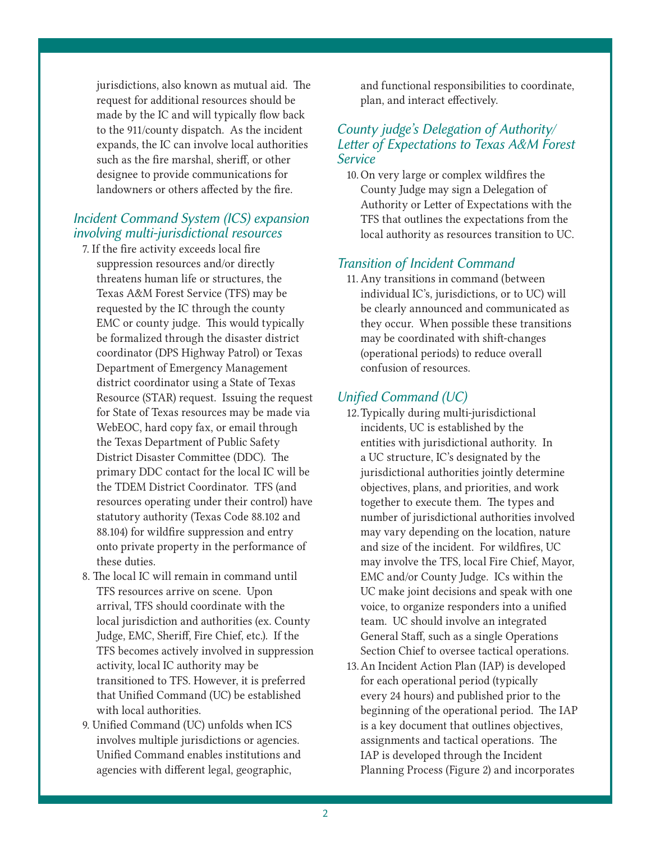jurisdictions, also known as mutual aid. The request for additional resources should be made by the IC and will typically flow back to the 911/county dispatch. As the incident expands, the IC can involve local authorities such as the fire marshal, sheriff, or other designee to provide communications for landowners or others affected by the fire.

## *Incident Command System (ICS) expansion involving multi-jurisdictional resources*

- 7. If the fire activity exceeds local fire suppression resources and/or directly threatens human life or structures, the Texas A&M Forest Service (TFS) may be requested by the IC through the county EMC or county judge. This would typically be formalized through the disaster district coordinator (DPS Highway Patrol) or Texas Department of Emergency Management district coordinator using a State of Texas Resource (STAR) request. Issuing the request for State of Texas resources may be made via WebEOC, hard copy fax, or email through the Texas Department of Public Safety District Disaster Committee (DDC). The primary DDC contact for the local IC will be the TDEM District Coordinator. TFS (and resources operating under their control) have statutory authority (Texas Code 88.102 and 88.104) for wildfire suppression and entry onto private property in the performance of these duties.
- 8. The local IC will remain in command until TFS resources arrive on scene. Upon arrival, TFS should coordinate with the local jurisdiction and authorities (ex. County Judge, EMC, Sheriff, Fire Chief, etc.). If the TFS becomes actively involved in suppression activity, local IC authority may be transitioned to TFS. However, it is preferred that Unified Command (UC) be established with local authorities.
- 9. Unified Command (UC) unfolds when ICS involves multiple jurisdictions or agencies. Unified Command enables institutions and agencies with different legal, geographic,

and functional responsibilities to coordinate, plan, and interact effectively.

## *County judge's Delegation of Authority/ Letter of Expectations to Texas A&M Forest Service*

10. On very large or complex wildfires the County Judge may sign a Delegation of Authority or Letter of Expectations with the TFS that outlines the expectations from the local authority as resources transition to UC.

### *Transition of Incident Command*

11. Any transitions in command (between individual IC's, jurisdictions, or to UC) will be clearly announced and communicated as they occur. When possible these transitions may be coordinated with shift-changes (operational periods) to reduce overall confusion of resources.

### *Unified Command (UC)*

- 12.Typically during multi-jurisdictional incidents, UC is established by the entities with jurisdictional authority. In a UC structure, IC's designated by the jurisdictional authorities jointly determine objectives, plans, and priorities, and work together to execute them. The types and number of jurisdictional authorities involved may vary depending on the location, nature and size of the incident. For wildfires, UC may involve the TFS, local Fire Chief, Mayor, EMC and/or County Judge. ICs within the UC make joint decisions and speak with one voice, to organize responders into a unified team. UC should involve an integrated General Staff, such as a single Operations Section Chief to oversee tactical operations.
- 13.An Incident Action Plan (IAP) is developed for each operational period (typically every 24 hours) and published prior to the beginning of the operational period. The IAP is a key document that outlines objectives, assignments and tactical operations. The IAP is developed through the Incident Planning Process (Figure 2) and incorporates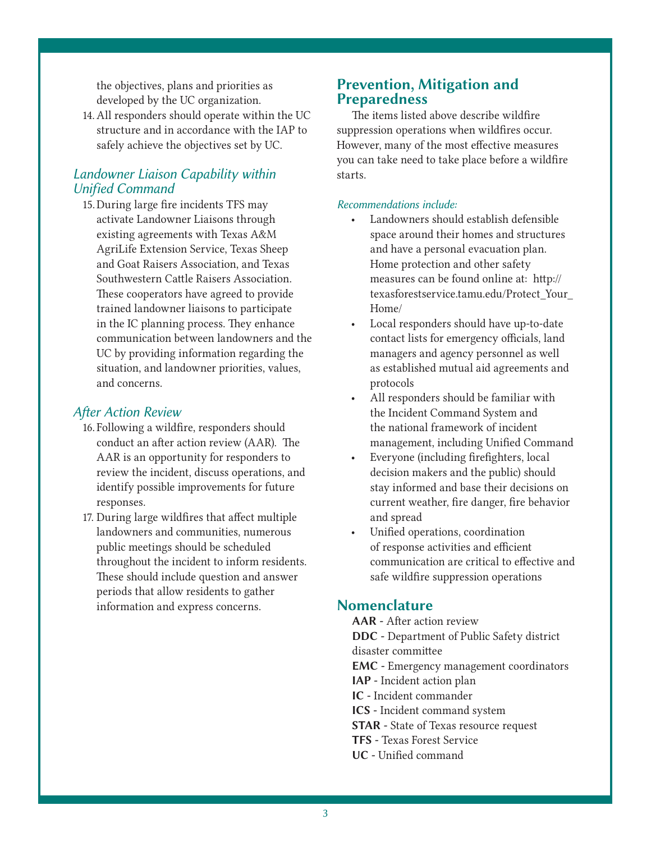the objectives, plans and priorities as developed by the UC organization.

14.All responders should operate within the UC structure and in accordance with the IAP to safely achieve the objectives set by UC.

## *Landowner Liaison Capability within Unified Command*

15.During large fire incidents TFS may activate Landowner Liaisons through existing agreements with Texas A&M AgriLife Extension Service, Texas Sheep and Goat Raisers Association, and Texas Southwestern Cattle Raisers Association. These cooperators have agreed to provide trained landowner liaisons to participate in the IC planning process. They enhance communication between landowners and the UC by providing information regarding the situation, and landowner priorities, values, and concerns.

### *After Action Review*

- 16. Following a wildfire, responders should conduct an after action review (AAR). The AAR is an opportunity for responders to review the incident, discuss operations, and identify possible improvements for future responses.
- 17. During large wildfires that affect multiple landowners and communities, numerous public meetings should be scheduled throughout the incident to inform residents. These should include question and answer periods that allow residents to gather information and express concerns.

## Prevention, Mitigation and Preparedness

The items listed above describe wildfire suppression operations when wildfires occur. However, many of the most effective measures you can take need to take place before a wildfire starts.

#### *Recommendations include:*

- Landowners should establish defensible space around their homes and structures and have a personal evacuation plan. Home protection and other safety measures can be found online at: http:// texasforestservice.tamu.edu/Protect\_Your\_ Home/
- Local responders should have up-to-date contact lists for emergency officials, land managers and agency personnel as well as established mutual aid agreements and protocols
- All responders should be familiar with the Incident Command System and the national framework of incident management, including Unified Command
- Everyone (including firefighters, local decision makers and the public) should stay informed and base their decisions on current weather, fire danger, fire behavior and spread
- Unified operations, coordination of response activities and efficient communication are critical to effective and safe wildfire suppression operations

### Nomenclature

AAR - After action review DDC - Department of Public Safety district disaster committee EMC - Emergency management coordinators IAP - Incident action plan IC - Incident commander ICS - Incident command system STAR - State of Texas resource request TFS - Texas Forest Service UC - Unified command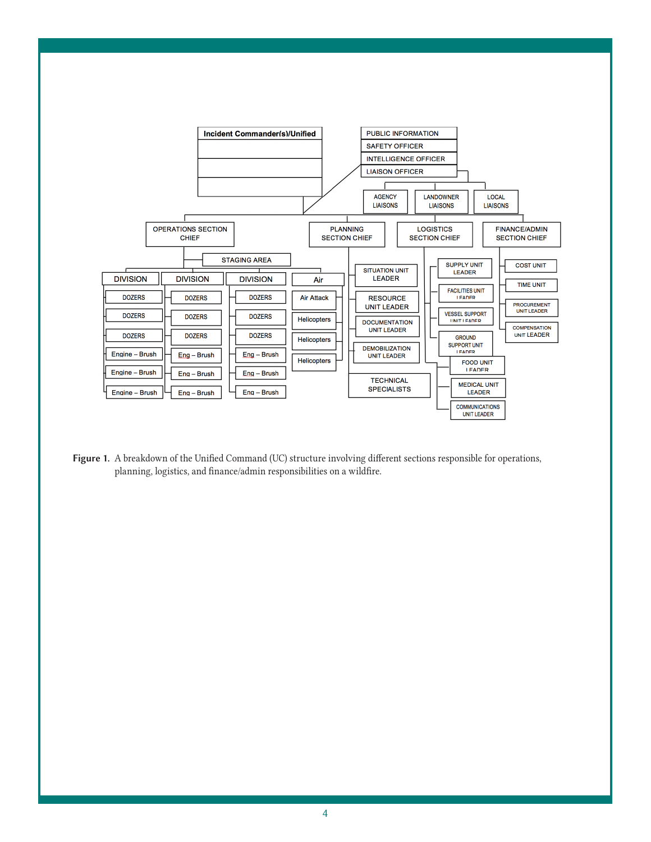

Figure 1. A breakdown of the Unified Command (UC) structure involving different sections responsible for operations, planning, logistics, and finance/admin responsibilities on a wildfire.